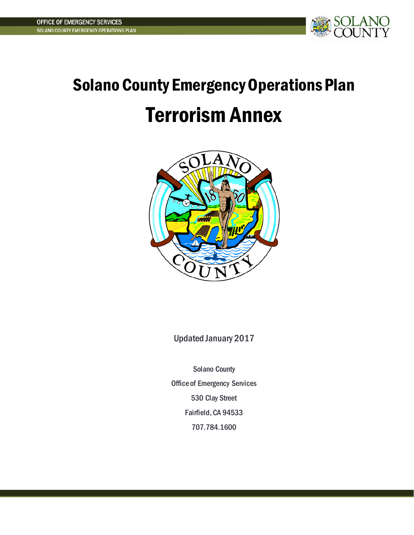

# Solano County Emergency Operations Plan Terrorism Annex



Updated January 2017

Solano County Office of Emergency Services 530 Clay Street Fairfield, CA 94533 707.784.1600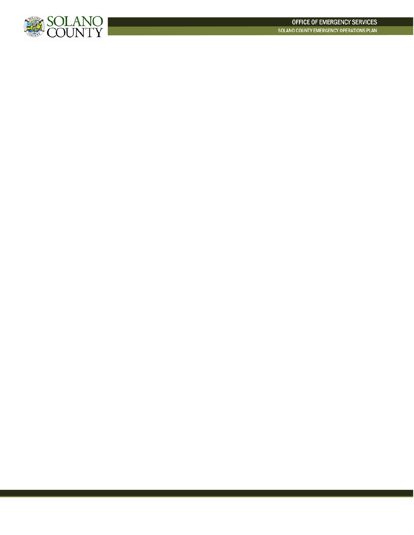

OFFICE OF EMERGENCY SERVICES SOLANO COUNTY EMERGENCY OPERATIONS PLAN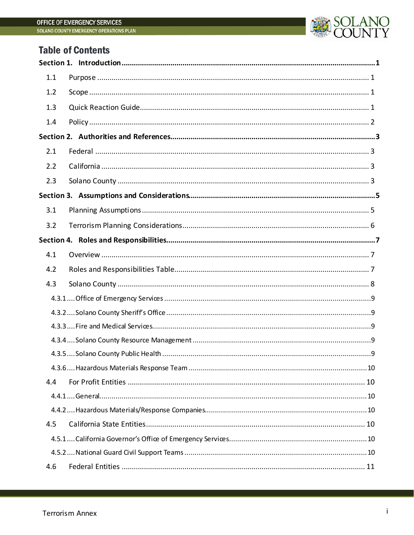

#### **Table of Contents**

| 1.1 |  |
|-----|--|
| 1.2 |  |
| 1.3 |  |
| 1.4 |  |
|     |  |
| 2.1 |  |
| 2.2 |  |
| 2.3 |  |
|     |  |
| 3.1 |  |
| 3.2 |  |
|     |  |
| 4.1 |  |
| 4.2 |  |
| 4.3 |  |
|     |  |
|     |  |
|     |  |
|     |  |
|     |  |
|     |  |
| 4.4 |  |
|     |  |
|     |  |
| 4.5 |  |
|     |  |
|     |  |
| 4.6 |  |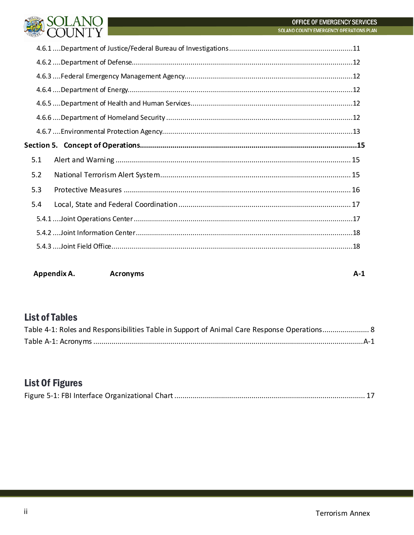Appendix A. **Acronyms**   $A-1$ 

### **List of Tables**

| Table 4-1: Roles and Responsibilities Table in Support of Animal Care Response Operations 8 |  |
|---------------------------------------------------------------------------------------------|--|
|                                                                                             |  |

### **List Of Figures**

|--|--|

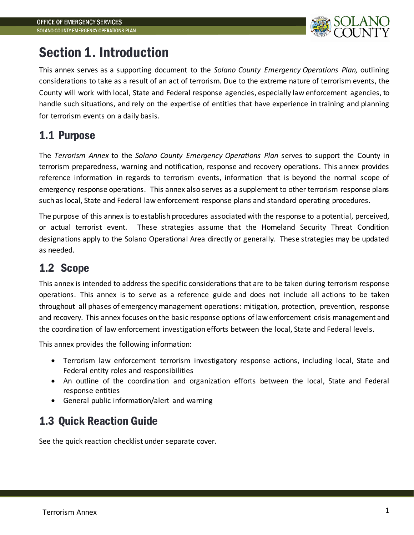

## <span id="page-4-0"></span>Section 1. Introduction

This annex serves as a supporting document to the *Solano County Emergency Operations Plan,* outlining considerations to take as a result of an act of terrorism. Due to the extreme nature of terrorism events, the County will work with local, State and Federal response agencies, especially law enforcement agencies, to handle such situations, and rely on the expertise of entities that have experience in training and planning for terrorism events on a daily basis.

### <span id="page-4-1"></span>1.1 Purpose

The *Terrorism Annex* to the *Solano County Emergency Operations Plan* serves to support the County in terrorism preparedness, warning and notification, response and recovery operations. This annex provides reference information in regards to terrorism events, information that is beyond the normal scope of emergency response operations. This annex also serves as a supplement to other terrorism response plans such as local, State and Federal law enforcement response plans and standard operating procedures.

The purpose of this annex is to establish procedures associated with the response to a potential, perceived, or actual terrorist event. These strategies assume that the Homeland Security Threat Condition designations apply to the Solano Operational Area directly or generally. These strategies may be updated as needed.

### <span id="page-4-2"></span>1.2 Scope

This annex is intended to address the specific considerations that are to be taken during terrorism response operations. This annex is to serve as a reference guide and does not include all actions to be taken throughout all phases of emergency management operations: mitigation, protection, prevention, response and recovery. This annex focuses on the basic response options of law enforcement crisis management and the coordination of law enforcement investigation efforts between the local, State and Federal levels.

This annex provides the following information:

- Terrorism law enforcement terrorism investigatory response actions, including local, State and Federal entity roles and responsibilities
- An outline of the coordination and organization efforts between the local, State and Federal response entities
- General public information/alert and warning

### <span id="page-4-3"></span>1.3 Quick Reaction Guide

See the quick reaction checklist under separate cover.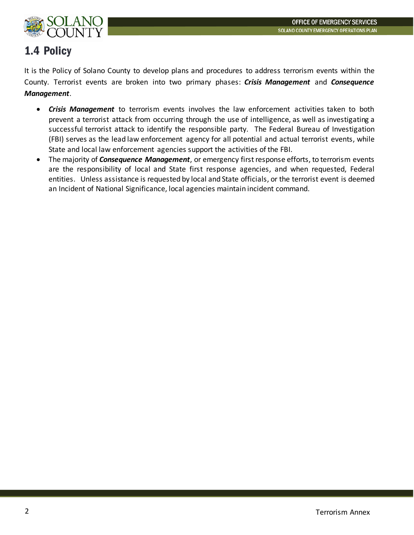

### <span id="page-5-0"></span>1.4 Policy

It is the Policy of Solano County to develop plans and procedures to address terrorism events within the County. Terrorist events are broken into two primary phases: *Crisis Management* and *Consequence Management*.

- *Crisis Management* to terrorism events involves the law enforcement activities taken to both prevent a terrorist attack from occurring through the use of intelligence, as well as investigating a successful terrorist attack to identify the responsible party. The Federal Bureau of Investigation (FBI) serves as the lead law enforcement agency for all potential and actual terrorist events, while State and local law enforcement agencies support the activities of the FBI.
- The majority of *Consequence Management*, or emergency first response efforts, to terrorism events are the responsibility of local and State first response agencies, and when requested, Federal entities. Unless assistance is requested by local and State officials, or the terrorist event is deemed an Incident of National Significance, local agencies maintain incident command.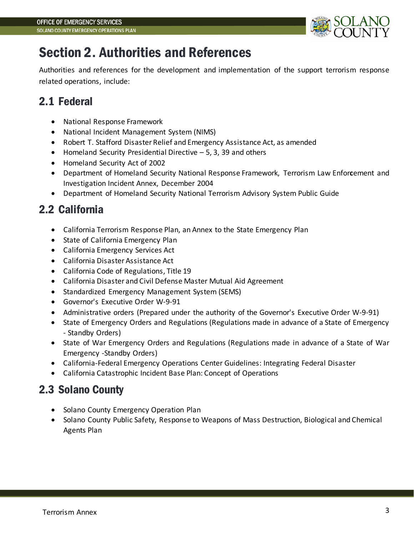

# <span id="page-6-0"></span>Section 2. Authorities and References

Authorities and references for the development and implementation of the support terrorism response related operations, include:

### <span id="page-6-1"></span>2.1 Federal

- National Response Framework
- National Incident Management System (NIMS)
- Robert T. Stafford Disaster Relief and Emergency Assistance Act, as amended
- $\bullet$  Homeland Security Presidential Directive  $-5$ , 3, 39 and others
- Homeland Security Act of 2002
- Department of Homeland Security National Response Framework, Terrorism Law Enfor**c**ement and Investigation Incident Annex, December 2004
- Department of Homeland Security National Terrorism Advisory System Public Guide

### <span id="page-6-2"></span>2.2 California

- California Terrorism Response Plan, an Annex to the State Emergency Plan
- State of California Emergency Plan
- California Emergency Services Act
- California Disaster Assistance Act
- California Code of Regulations, Title 19
- California Disaster and Civil Defense Master Mutual Aid Agreement
- Standardized Emergency Management System (SEMS)
- Governor's Executive Order W-9-91
- Administrative orders (Prepared under the authority of the Governor's Executive Order W-9-91)
- State of Emergency Orders and Regulations (Regulations made in advance of a State of Emergency - Standby Orders)
- State of War Emergency Orders and Regulations (Regulations made in advance of a State of War Emergency -Standby Orders)
- California-Federal Emergency Operations Center Guidelines: Integrating Federal Disaster
- California Catastrophic Incident Base Plan: Concept of Operations

### <span id="page-6-3"></span>2.3 Solano County

- Solano County Emergency Operation Plan
- Solano County Public Safety, Response to Weapons of Mass Destruction, Biological and Chemical Agents Plan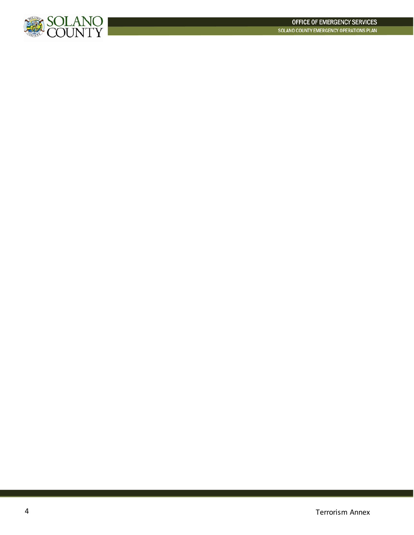

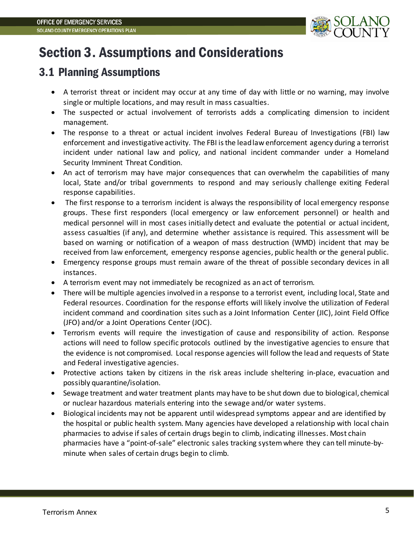

# <span id="page-8-0"></span>Section 3. Assumptions and Considerations

### <span id="page-8-1"></span>3.1 Planning Assumptions

- A terrorist threat or incident may occur at any time of day with little or no warning, may involve single or multiple locations, and may result in mass casualties.
- The suspected or actual involvement of terrorists adds a complicating dimension to incident management.
- The response to a threat or actual incident involves Federal Bureau of Investigations (FBI) law enforcement and investigative activity. The FBI is the lead law enforcement agency during a terrorist incident under national law and policy, and national incident commander under a Homeland Security Imminent Threat Condition.
- An act of terrorism may have major consequences that can overwhelm the capabilities of many local, State and/or tribal governments to respond and may seriously challenge exiting Federal response capabilities.
- The first response to a terrorism incident is always the responsibility of local emergency response groups. These first responders (local emergency or law enforcement personnel) or health and medical personnel will in most cases initially detect and evaluate the potential or actual incident, assess casualties (if any), and determine whether assistance is required. This assessment will be based on warning or notification of a weapon of mass destruction (WMD) incident that may be received from law enforcement, emergency response agencies, public health or the general public.
- Emergency response groups must remain aware of the threat of possible secondary devices in all instances.
- A terrorism event may not immediately be recognized as an act of terrorism.
- There will be multiple agencies involved in a response to a terrorist event, including local, State and Federal resources. Coordination for the response efforts will likely involve the utilization of Federal incident command and coordination sites such as a Joint Information Center (JIC), Joint Field Office (JFO) and/or a Joint Operations Center (JOC).
- Terrorism events will require the investigation of cause and responsibility of action. Response actions will need to follow specific protocols outlined by the investigative agencies to ensure that the evidence is not compromised. Local response agencies will follow the lead and requests of State and Federal investigative agencies.
- Protective actions taken by citizens in the risk areas include sheltering in-place, evacuation and possibly quarantine/isolation.
- Sewage treatment and water treatment plants may have to be shut down due to biological, chemical or nuclear hazardous materials entering into the sewage and/or water systems.
- Biological incidents may not be apparent until widespread symptoms appear and are identified by the hospital or public health system. Many agencies have developed a relationship with local chain pharmacies to advise if sales of certain drugs begin to climb, indicating illnesses. Most chain pharmacies have a "point-of-sale" electronic sales tracking system where they can tell minute-byminute when sales of certain drugs begin to climb.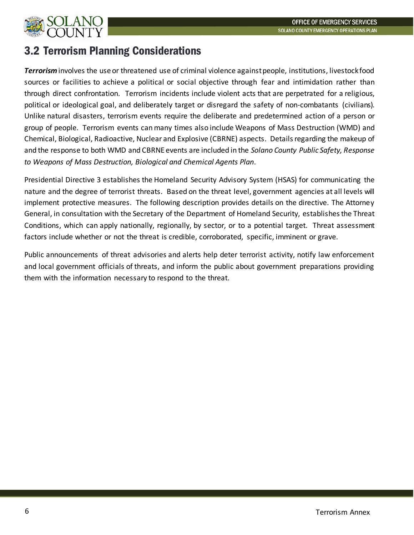

### <span id="page-9-0"></span>3.2 Terrorism Planning Considerations

*Terrorism*involves the use or threatened use of criminal violence against people, institutions, livestock food sources or facilities to achieve a political or social objective through fear and intimidation rather than through direct confrontation. Terrorism incidents include violent acts that are perpetrated for a religious, political or ideological goal, and deliberately target or disregard the safety of non-combatants (civilians). Unlike natural disasters, terrorism events require the deliberate and predetermined action of a person or group of people. Terrorism events can many times also include Weapons of Mass Destruction (WMD) and Chemical, Biological, Radioactive, Nuclear and Explosive (CBRNE) aspects. Details regarding the makeup of and the response to both WMD and CBRNE events are included in the *Solano County Public Safety, Response to Weapons of Mass Destruction, Biological and Chemical Agents Plan*.

Presidential Directive 3 establishes the Homeland Security Advisory System (HSAS) for communicating the nature and the degree of terrorist threats. Based on the threat level, government agencies at all levels will implement protective measures. The following description provides details on the directive. The Attorney General, in consultation with the Secretary of the Department of Homeland Security, establishes the Threat Conditions, which can apply nationally, regionally, by sector, or to a potential target. Threat assessment factors include whether or not the threat is credible, corroborated, specific, imminent or grave.

Public announcements of threat advisories and alerts help deter terrorist activity, notify law enforcement and local government officials of threats, and inform the public about government preparations providing them with the information necessary to respond to the threat.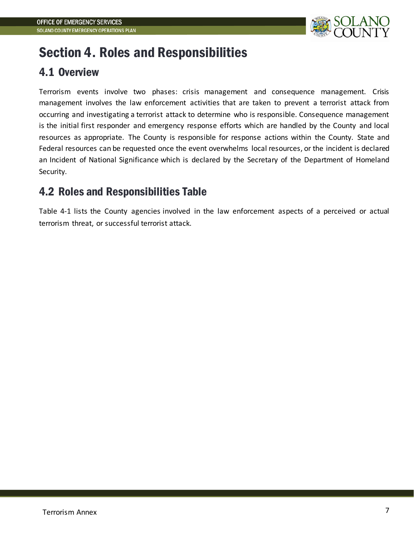

# <span id="page-10-0"></span>Section 4. Roles and Responsibilities

### <span id="page-10-1"></span>4.1 Overview

Terrorism events involve two phases: crisis management and consequence management. Crisis management involves the law enforcement activities that are taken to prevent a terrorist attack from occurring and investigating a terrorist attack to determine who is responsible. Consequence management is the initial first responder and emergency response efforts which are handled by the County and local resources as appropriate. The County is responsible for response actions within the County. State and Federal resources can be requested once the event overwhelms local resources, or the incident is declared an Incident of National Significance which is declared by the Secretary of the Department of Homeland Security.

### <span id="page-10-2"></span>4.2 Roles and Responsibilities Table

[Table 4-1](#page-11-1) lists the County agencies involved in the law enforcement aspects of a perceived or actual terrorism threat, or successful terrorist attack.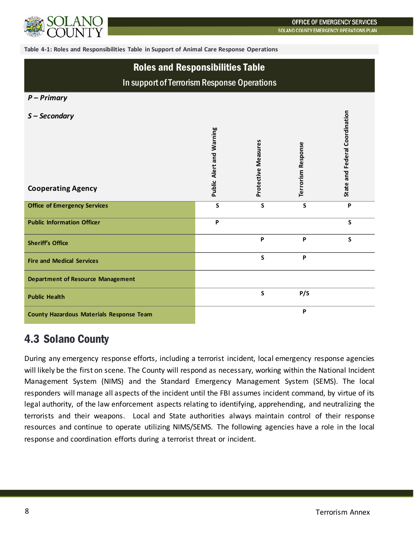

<span id="page-11-1"></span>**Table 4-1: Roles and Responsibilities Table in Support of Animal Care Response Operations**

| <b>Roles and Responsibilities Table</b>         |                          |                           |                    |                                |
|-------------------------------------------------|--------------------------|---------------------------|--------------------|--------------------------------|
| In support of Terrorism Response Operations     |                          |                           |                    |                                |
| $P - Primary$                                   |                          |                           |                    |                                |
| S-Secondary                                     | Public Alert and Warning | Protective Measures       | Terrorism Response | State and Federal Coordination |
| <b>Cooperating Agency</b>                       |                          |                           |                    |                                |
| <b>Office of Emergency Services</b>             | $\mathsf S$              | $\mathsf{s}$              | S                  | P                              |
| <b>Public Information Officer</b>               | P                        |                           |                    | $\mathsf{s}$                   |
| <b>Sheriff's Office</b>                         |                          | $\boldsymbol{\mathsf{P}}$ | P                  | S                              |
| <b>Fire and Medical Services</b>                |                          | $\mathsf{s}$              | P                  |                                |
| <b>Department of Resource Management</b>        |                          |                           |                    |                                |
| <b>Public Health</b>                            |                          | S                         | P/S                |                                |
| <b>County Hazardous Materials Response Team</b> |                          |                           | P                  |                                |

### <span id="page-11-0"></span>4.3 Solano County

During any emergency response efforts, including a terrorist incident, local emergency response agencies will likely be the first on scene. The County will respond as necessary, working within the National Incident Management System (NIMS) and the Standard Emergency Management System (SEMS). The local responders will manage all aspects of the incident until the FBI assumes incident command, by virtue of its legal authority, of the law enforcement aspects relating to identifying, apprehending, and neutralizing the terrorists and their weapons. Local and State authorities always maintain control of their response resources and continue to operate utilizing NIMS/SEMS. The following agencies have a role in the local response and coordination efforts during a terrorist threat or incident.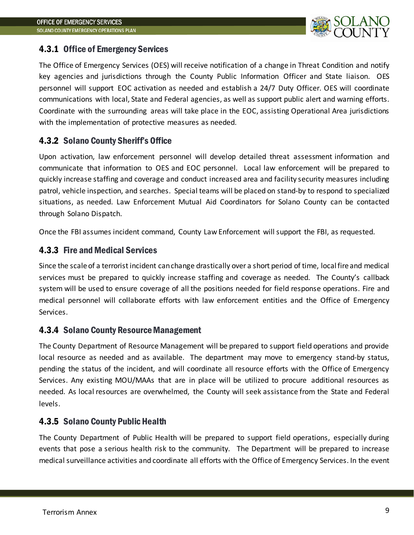

#### <span id="page-12-0"></span>4.3.1 Office of Emergency Services

The Office of Emergency Services (OES) will receive notification of a change in Threat Condition and notify key agencies and jurisdictions through the County Public Information Officer and State liaison. OES personnel will support EOC activation as needed and establish a 24/7 Duty Officer. OES will coordinate communications with local, State and Federal agencies, as well as support public alert and warning efforts. Coordinate with the surrounding areas will take place in the EOC, assisting Operational Area jurisdictions with the implementation of protective measures as needed.

#### <span id="page-12-1"></span>4.3.2 Solano County Sheriff's Office

Upon activation, law enforcement personnel will develop detailed threat assessment information and communicate that information to OES and EOC personnel. Local law enforcement will be prepared to quickly increase staffing and coverage and conduct increased area and facility security measures including patrol, vehicle inspection, and searches. Special teams will be placed on stand-by to respond to specialized situations, as needed. Law Enforcement Mutual Aid Coordinators for Solano County can be contacted through Solano Dispatch.

Once the FBI assumes incident command, County Law Enforcement will support the FBI, as requested.

#### <span id="page-12-2"></span>4.3.3 Fire and Medical Services

Since the scale of a terrorist incident can change drastically over a short period of time, local fire and medical services must be prepared to quickly increase staffing and coverage as needed. The County's callback system will be used to ensure coverage of all the positions needed for field response operations. Fire and medical personnel will collaborate efforts with law enforcement entities and the Office of Emergency Services.

#### <span id="page-12-3"></span>4.3.4 Solano County Resource Management

The County Department of Resource Management will be prepared to support field operations and provide local resource as needed and as available. The department may move to emergency stand-by status, pending the status of the incident, and will coordinate all resource efforts with the Office of Emergency Services. Any existing MOU/MAAs that are in place will be utilized to procure additional resources as needed. As local resources are overwhelmed, the County will seek assistance from the State and Federal levels.

#### <span id="page-12-4"></span>4.3.5 Solano County Public Health

The County Department of Public Health will be prepared to support field operations, especially during events that pose a serious health risk to the community. The Department will be prepared to increase medical surveillance activities and coordinate all efforts with the Office of Emergency Services. In the event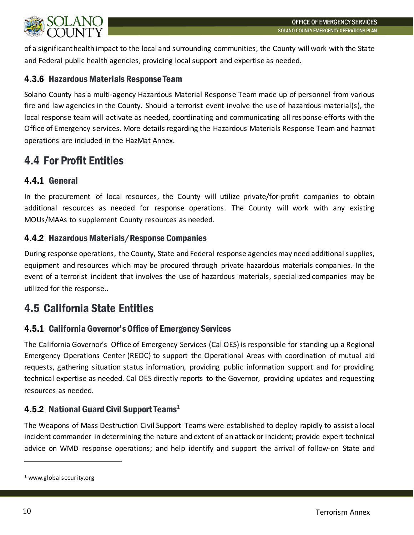

of a significant health impact to the local and surrounding communities, the County will work with the State and Federal public health agencies, providing local support and expertise as needed.

#### <span id="page-13-0"></span>4.3.6 Hazardous Materials Response Team

Solano County has a multi-agency Hazardous Material Response Team made up of personnel from various fire and law agencies in the County. Should a terrorist event involve the use of hazardous material(s), the local response team will activate as needed, coordinating and communicating all response efforts with the Office of Emergency services. More details regarding the Hazardous Materials Response Team and hazmat operations are included in the HazMat Annex.

### <span id="page-13-1"></span>4.4 For Profit Entities

#### <span id="page-13-2"></span>4.4.1 General

In the procurement of local resources, the County will utilize private/for-profit companies to obtain additional resources as needed for response operations. The County will work with any existing MOUs/MAAs to supplement County resources as needed.

#### <span id="page-13-3"></span>4.4.2 Hazardous Materials/Response Companies

During response operations, the County, State and Federal response agencies may need additional supplies, equipment and resources which may be procured through private hazardous materials companies. In the event of a terrorist incident that involves the use of hazardous materials, specialized companies may be utilized for the response..

### <span id="page-13-4"></span>4.5 California State Entities

#### <span id="page-13-5"></span>4.5.1 California Governor's Office of Emergency Services

The California Governor's Office of Emergency Services (Cal OES) is responsible for standing up a Regional Emergency Operations Center (REOC) to support the Operational Areas with coordination of mutual aid requests, gathering situation status information, providing public information support and for providing technical expertise as needed. Cal OES directly reports to the Governor, providing updates and requesting resources as needed.

#### <span id="page-13-6"></span>**4.5.2 National Guard Civil Support Teams**<sup>[1](#page-13-7)</sup>

The Weapons of Mass Destruction Civil Support Teams were established to deploy rapidly to assist a local incident commander in determining the nature and extent of an attack or incident; provide expert technical advice on WMD response operations; and help identify and support the arrival of follow-on State and

<span id="page-13-7"></span><sup>1</sup> www.globalsecurity.org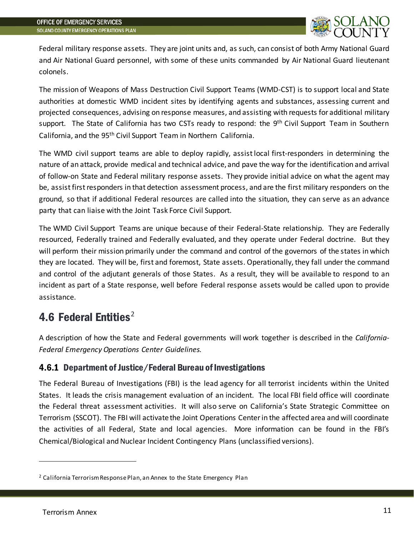

Federal military response assets. They are joint units and, as such, can consist of both Army National Guard and Air National Guard personnel, with some of these units commanded by Air National Guard lieutenant colonels.

The mission of Weapons of Mass Destruction Civil Support Teams (WMD-CST) is to support local and State authorities at domestic WMD incident sites by identifying agents and substances, assessing current and projected consequences, advising on response measures, and assisting with requests for additional military support. The State of California has two CSTs ready to respond: the 9<sup>th</sup> Civil Support Team in Southern California, and the 95th Civil Support Team in Northern California.

The WMD civil support teams are able to deploy rapidly, assist local first-responders in determining the nature of an attack, provide medical and technical advice, and pave the way for the identification and arrival of follow-on State and Federal military response assets. They provide initial advice on what the agent may be, assist first responders in that detection assessment process, and are the first military responders on the ground, so that if additional Federal resources are called into the situation, they can serve as an advance party that can liaise with the Joint Task Force Civil Support.

The WMD Civil Support Teams are unique because of their Federal-State relationship. They are Federally resourced, Federally trained and Federally evaluated, and they operate under Federal doctrine. But they will perform their mission primarily under the command and control of the governors of the states in which they are located. They will be, first and foremost, State assets. Operationally, they fall under the command and control of the adjutant generals of those States. As a result, they will be available to respond to an incident as part of a State response, well before Federal response assets would be called upon to provide assistance.

### <span id="page-14-0"></span>4.6 Federal Entities<sup>[2](#page-14-2)</sup>

A description of how the State and Federal governments will work together is described in the *California-Federal Emergency Operations Center Guidelines.*

#### <span id="page-14-1"></span>4.6.1 Department of Justice/Federal Bureau of Investigations

The Federal Bureau of Investigations (FBI) is the lead agency for all terrorist incidents within the United States. It leads the crisis management evaluation of an incident. The local FBI field office will coordinate the Federal threat assessment activities. It will also serve on California's State Strategic Committee on Terrorism (SSCOT). The FBI will activate the Joint Operations Center in the affected area and will coordinate the activities of all Federal, State and local agencies. More information can be found in the FBI's Chemical/Biological and Nuclear Incident Contingency Plans (unclassified versions).

<span id="page-14-2"></span><sup>&</sup>lt;sup>2</sup> California Terrorism Response Plan, an Annex to the State Emergency Plan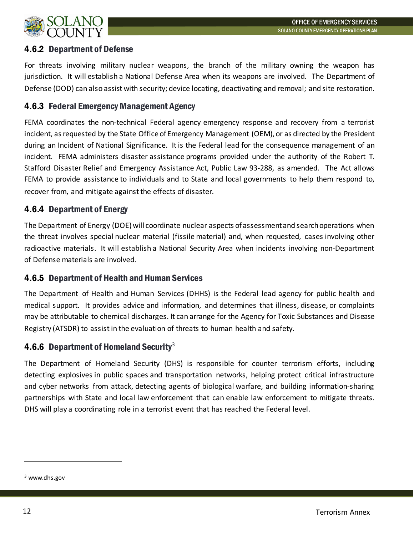

#### <span id="page-15-0"></span>4.6.2 Department of Defense

For threats involving military nuclear weapons, the branch of the military owning the weapon has jurisdiction. It will establish a National Defense Area when its weapons are involved. The Department of Defense (DOD) can also assist with security; device locating, deactivating and removal; and site restoration.

#### <span id="page-15-1"></span>4.6.3 Federal Emergency Management Agency

FEMA coordinates the non-technical Federal agency emergency response and recovery from a terrorist incident, as requested by the State Office of Emergency Management (OEM), or as directed by the President during an Incident of National Significance. It is the Federal lead for the consequence management of an incident. FEMA administers disaster assistance programs provided under the authority of the Robert T. Stafford Disaster Relief and Emergency Assistance Act, Public Law 93-288, as amended. The Act allows FEMA to provide assistance to individuals and to State and local governments to help them respond to, recover from, and mitigate against the effects of disaster.

#### <span id="page-15-2"></span>4.6.4 Department of Energy

The Department of Energy (DOE)will coordinate nuclear aspects of assessment and search operations when the threat involves special nuclear material (fissile material) and, when requested, cases involving other radioactive materials. It will establish a National Security Area when incidents involving non-Department of Defense materials are involved.

#### <span id="page-15-3"></span>4.6.5 Department of Health and Human Services

The Department of Health and Human Services (DHHS) is the Federal lead agency for public health and medical support. It provides advice and information, and determines that illness, disease, or complaints may be attributable to chemical discharges. It can arrange for the Agency for Toxic Substances and Disease Registry (ATSDR) to assist in the evaluation of threats to human health and safety.

#### <span id="page-15-4"></span>4.6.6 Department of Homeland Security<sup>[3](#page-15-5)</sup>

The Department of Homeland Security (DHS) is responsible for counter terrorism efforts, including detecting explosives in public spaces and transportation networks, helping protect critical infrastructure and cyber networks from attack, detecting agents of biological warfare, and building information-sharing partnerships with State and local law enforcement that can enable law enforcement to mitigate threats. DHS will play a coordinating role in a terrorist event that has reached the Federal level.

<span id="page-15-5"></span><sup>3</sup> www.dhs.gov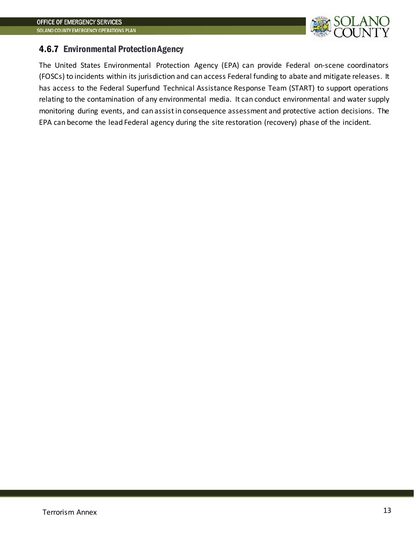

#### <span id="page-16-0"></span>4.6.7 Environmental Protection Agency

The United States Environmental Protection Agency (EPA) can provide Federal on-scene coordinators (FOSCs) to incidents within its jurisdiction and can access Federal funding to abate and mitigate releases. It has access to the Federal Superfund Technical Assistance Response Team (START) to support operations relating to the contamination of any environmental media. It can conduct environmental and water supply monitoring during events, and can assist in consequence assessment and protective action decisions. The EPA can become the lead Federal agency during the site restoration (recovery) phase of the incident.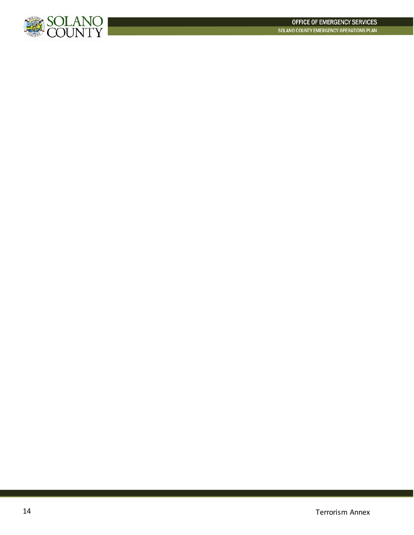

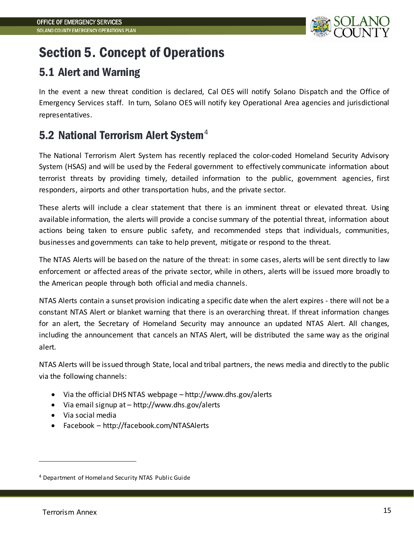

# <span id="page-18-0"></span>Section 5. Concept of Operations

### <span id="page-18-1"></span>5.1 Alert and Warning

In the event a new threat condition is declared, Cal OES will notify Solano Dispatch and the Office of Emergency Services staff. In turn, Solano OES will notify key Operational Area agencies and jurisdictional representatives.

### <span id="page-18-2"></span>5.2 National Terrorism Alert System<sup>[4](#page-18-3)</sup>

The National Terrorism Alert System has recently replaced the color-coded Homeland Security Advisory System (HSAS) and will be used by the Federal government to effectively communicate information about terrorist threats by providing timely, detailed information to the public, government agencies, first responders, airports and other transportation hubs, and the private sector.

These alerts will include a clear statement that there is an imminent threat or elevated threat. Using available information, the alerts will provide a concise summary of the potential threat, information about actions being taken to ensure public safety, and recommended steps that individuals, communities, businesses and governments can take to help prevent, mitigate or respond to the threat.

The NTAS Alerts will be based on the nature of the threat: in some cases, alerts will be sent directly to law enforcement or affected areas of the private sector, while in others, alerts will be issued more broadly to the American people through both official and media channels.

NTAS Alerts contain a sunset provision indicating a specific date when the alert expires - there will not be a constant NTAS Alert or blanket warning that there is an overarching threat. If threat information changes for an alert, the Secretary of Homeland Security may announce an updated NTAS Alert. All changes, including the announcement that cancels an NTAS Alert, will be distributed the same way as the original alert.

NTAS Alerts will be issued through State, local and tribal partners, the news media and directly to the public via the following channels:

- Via the official DHS NTAS webpage http://www.dhs.gov/alerts
- Via email signup at http://www.dhs.gov/alerts
- Via social media
- Facebook http://facebook.com/NTASAlerts

<span id="page-18-3"></span><sup>4</sup> Department of Homeland Security NTAS Public Guide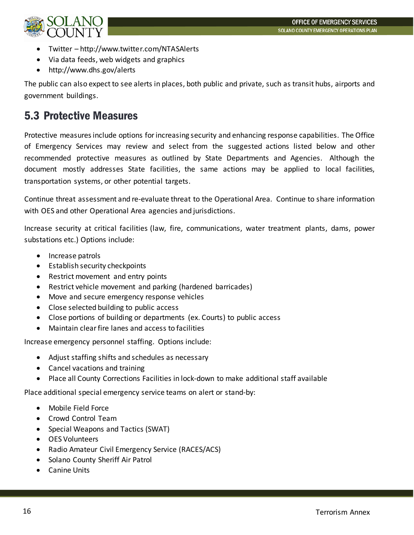

- Twitter http://www.twitter.com/NTASAlerts
- Via data feeds, web widgets and graphics
- http://www.dhs.gov/alerts

The public can also expect to see alerts in places, both public and private, such as transit hubs, airports and government buildings.

### <span id="page-19-0"></span>5.3 Protective Measures

Protective measures include options for increasing security and enhancing response capabilities. The Office of Emergency Services may review and select from the suggested actions listed below and other recommended protective measures as outlined by State Departments and Agencies. Although the document mostly addresses State facilities, the same actions may be applied to local facilities, transportation systems, or other potential targets.

Continue threat assessment and re-evaluate threat to the Operational Area. Continue to share information with OES and other Operational Area agencies and jurisdictions.

Increase security at critical facilities (law, fire, communications, water treatment plants, dams, power substations etc.) Options include:

- Increase patrols
- Establish security checkpoints
- Restrict movement and entry points
- Restrict vehicle movement and parking (hardened barricades)
- Move and secure emergency response vehicles
- Close selected building to public access
- Close portions of building or departments (ex. Courts) to public access
- Maintain clear fire lanes and access to facilities

Increase emergency personnel staffing. Options include:

- Adjust staffing shifts and schedules as necessary
- Cancel vacations and training
- Place all County Corrections Facilities in lock-down to make additional staff available

Place additional special emergency service teams on alert or stand-by:

- Mobile Field Force
- Crowd Control Team
- Special Weapons and Tactics (SWAT)
- OES Volunteers
- Radio Amateur Civil Emergency Service (RACES/ACS)
- Solano County Sheriff Air Patrol
- Canine Units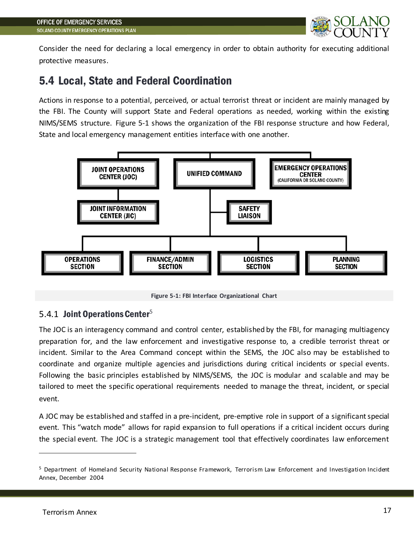

Consider the need for declaring a local emergency in order to obtain authority for executing additional protective measures.

### <span id="page-20-0"></span>5.4 Local, State and Federal Coordination

Actions in response to a potential, perceived, or actual terrorist threat or incident are mainly managed by the FBI. The County will support State and Federal operations as needed, working within the existing NIMS/SEMS structure. [Figure 5-1](#page-20-2) shows the organization of the FBI response structure and how Federal, State and local emergency management entities interface with one another.



**Figure 5-1: FBI Interface Organizational Chart**

#### <span id="page-20-2"></span><span id="page-20-1"></span>[5](#page-20-3).4.1 Joint Operations Center<sup>5</sup>

The JOC is an interagency command and control center, established by the FBI, for managing multiagency preparation for, and the law enforcement and investigative response to, a credible terrorist threat or incident. Similar to the Area Command concept within the SEMS, the JOC also may be established to coordinate and organize multiple agencies and jurisdictions during critical incidents or special events. Following the basic principles established by NIMS/SEMS, the JOC is modular and scalable and may be tailored to meet the specific operational requirements needed to manage the threat, incident, or special event.

A JOC may be established and staffed in a pre-incident, pre-emptive role in support of a significant special event. This "watch mode" allows for rapid expansion to full operations if a critical incident occurs during the special event. The JOC is a strategic management tool that effectively coordinates law enforcement

<span id="page-20-3"></span><sup>5</sup> Department of Homeland Security National Response Framework, Terrorism Law Enforcement and Investigation Incident Annex, December 2004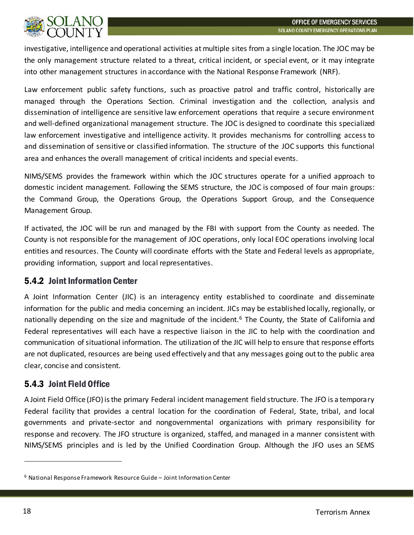

investigative, intelligence and operational activities at multiple sites from a single location. The JOC may be the only management structure related to a threat, critical incident, or special event, or it may integrate into other management structures in accordance with the National Response Framework (NRF).

Law enforcement public safety functions, such as proactive patrol and traffic control, historically are managed through the Operations Section. Criminal investigation and the collection, analysis and dissemination of intelligence are sensitive law enforcement operations that require a secure environment and well-defined organizational management structure. The JOC is designed to coordinate this specialized law enforcement investigative and intelligence activity. It provides mechanisms for controlling access to and dissemination of sensitive or classified information. The structure of the JOC supports this functional area and enhances the overall management of critical incidents and special events.

NIMS/SEMS provides the framework within which the JOC structures operate for a unified approach to domestic incident management. Following the SEMS structure, the JOC is composed of four main groups: the Command Group, the Operations Group, the Operations Support Group, and the Consequence Management Group.

If activated, the JOC will be run and managed by the FBI with support from the County as needed. The County is not responsible for the management of JOC operations, only local EOC operations involving local entities and resources. The County will coordinate efforts with the State and Federal levels as appropriate, providing information, support and local representatives.

#### <span id="page-21-0"></span>5.4.2 Joint Information Center

A Joint Information Center (JIC) is an interagency entity established to coordinate and disseminate information for the public and media concerning an incident. JICs may be established locally, regionally, or nationally depending on the size and magnitude of the incident.<sup>[6](#page-21-2)</sup> The County, the State of California and Federal representatives will each have a respective liaison in the JIC to help with the coordination and communication of situational information. The utilization of the JIC will help to ensure that response efforts are not duplicated, resources are being used effectively and that any messages going out to the public area clear, concise and consistent.

#### <span id="page-21-1"></span>5.4.3 Joint Field Office

A Joint Field Office (JFO) is the primary Federal incident management field structure. The JFO is a temporary Federal facility that provides a central location for the coordination of Federal, State, tribal, and local governments and private-sector and nongovernmental organizations with primary responsibility for response and recovery. The JFO structure is organized, staffed, and managed in a manner consistent with NIMS/SEMS principles and is led by the Unified Coordination Group. Although the JFO uses an SEMS

<span id="page-21-2"></span><sup>6</sup> National Response Framework Resource Guide – Joint Information Center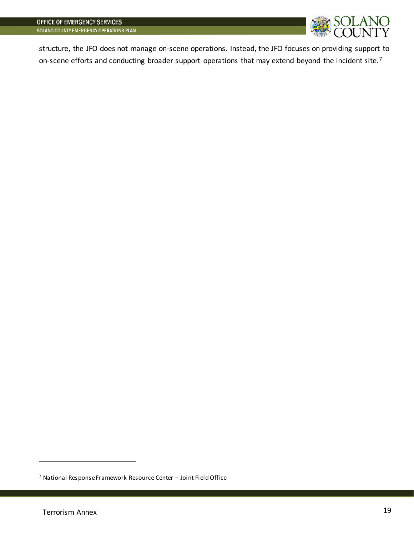

structure, the JFO does not manage on-scene operations. Instead, the JFO focuses on providing support to on-scene efforts and conducting broader support operations that may extend beyond the incident site.<sup>[7](#page-22-0)</sup>

<span id="page-22-0"></span><sup>7</sup> National Response Framework Resource Center – Joint Field Office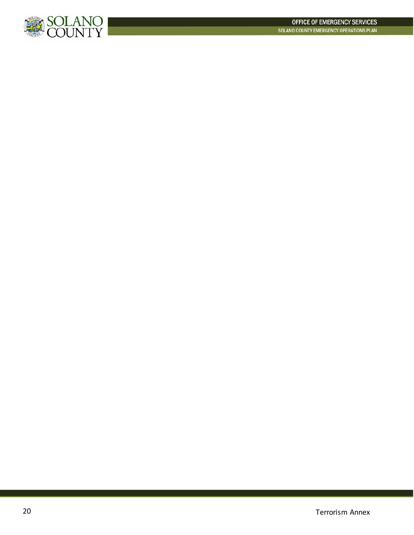

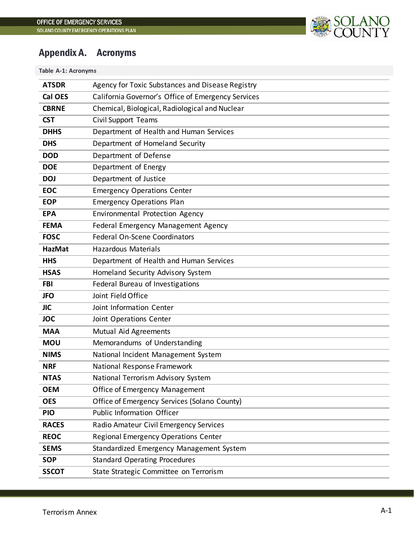

### <span id="page-24-0"></span>Appendix A. Acronyms

<span id="page-24-1"></span>**Table A-1: Acronyms**

| <b>ATSDR</b>  | Agency for Toxic Substances and Disease Registry   |
|---------------|----------------------------------------------------|
| Cal OES       | California Governor's Office of Emergency Services |
| <b>CBRNE</b>  | Chemical, Biological, Radiological and Nuclear     |
| <b>CST</b>    | <b>Civil Support Teams</b>                         |
| <b>DHHS</b>   | Department of Health and Human Services            |
| <b>DHS</b>    | Department of Homeland Security                    |
| <b>DOD</b>    | Department of Defense                              |
| <b>DOE</b>    | Department of Energy                               |
| <b>DOJ</b>    | Department of Justice                              |
| <b>EOC</b>    | <b>Emergency Operations Center</b>                 |
| <b>EOP</b>    | <b>Emergency Operations Plan</b>                   |
| <b>EPA</b>    | <b>Environmental Protection Agency</b>             |
| <b>FEMA</b>   | Federal Emergency Management Agency                |
| <b>FOSC</b>   | <b>Federal On-Scene Coordinators</b>               |
| <b>HazMat</b> | <b>Hazardous Materials</b>                         |
| <b>HHS</b>    | Department of Health and Human Services            |
| <b>HSAS</b>   | Homeland Security Advisory System                  |
| <b>FBI</b>    | Federal Bureau of Investigations                   |
| <b>JFO</b>    | Joint Field Office                                 |
| <b>JIC</b>    | Joint Information Center                           |
| <b>JOC</b>    | Joint Operations Center                            |
| <b>MAA</b>    | Mutual Aid Agreements                              |
| <b>MOU</b>    | Memorandums of Understanding                       |
| <b>NIMS</b>   | National Incident Management System                |
| <b>NRF</b>    | National Response Framework                        |
| <b>NTAS</b>   | National Terrorism Advisory System                 |
| <b>OEM</b>    | Office of Emergency Management                     |
| <b>OES</b>    | Office of Emergency Services (Solano County)       |
| <b>PIO</b>    | <b>Public Information Officer</b>                  |
| <b>RACES</b>  | Radio Amateur Civil Emergency Services             |
| <b>REOC</b>   | <b>Regional Emergency Operations Center</b>        |
| <b>SEMS</b>   | Standardized Emergency Management System           |
| <b>SOP</b>    | <b>Standard Operating Procedures</b>               |
| <b>SSCOT</b>  | State Strategic Committee on Terrorism             |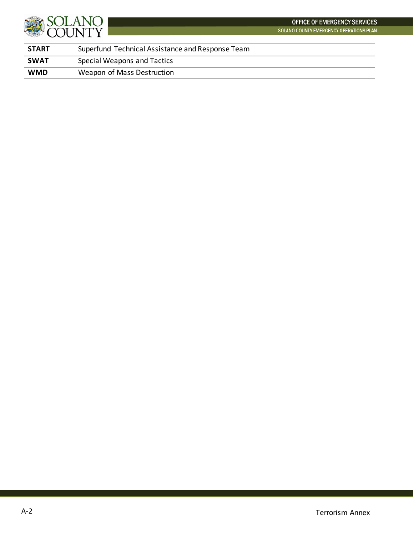

| <b>START</b> | Superfund Technical Assistance and Response Team |
|--------------|--------------------------------------------------|
| <b>SWAT</b>  | Special Weapons and Tactics                      |
| <b>WMD</b>   | Weapon of Mass Destruction                       |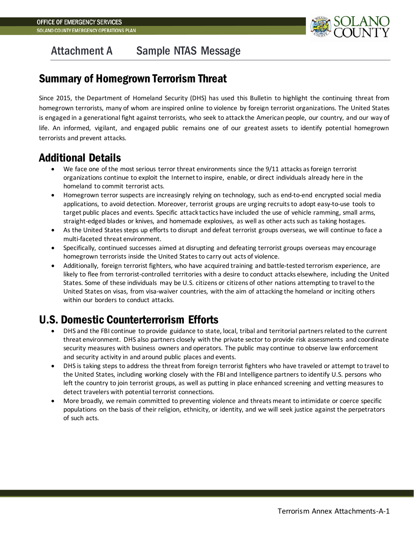

Attachment A Sample NTAS Message

### Summary of Homegrown Terrorism Threat

Since 2015, the Department of Homeland Security (DHS) has used this Bulletin to highlight the continuing threat from homegrown terrorists, many of whom are inspired online to violence by foreign terrorist organizations. The United States is engaged in a generational fight against terrorists, who seek to attack the American people, our country, and our way of life. An informed, vigilant, and engaged public remains one of our greatest assets to identify potential homegrown terrorists and prevent attacks.

### Additional Details

- We face one of the most serious terror threat environments since the 9/11 attacks as foreign terrorist organizations continue to exploit the Internet to inspire, enable, or direct individuals already here in the homeland to commit terrorist acts.
- Homegrown terror suspects are increasingly relying on technology, such as end-to-end encrypted social media applications, to avoid detection. Moreover, terrorist groups are urging recruits to adopt easy-to-use tools to target public places and events. Specific attack tactics have included the use of vehicle ramming, small arms, straight-edged blades or knives, and homemade explosives, as well as other acts such as taking hostages.
- As the United States steps up efforts to disrupt and defeat terrorist groups overseas, we will continue to face a multi-faceted threat environment.
- Specifically, continued successes aimed at disrupting and defeating terrorist groups overseas may encourage homegrown terrorists inside the United States to carry out acts of violence.
- Additionally, foreign terrorist fighters, who have acquired training and battle-tested terrorism experience, are likely to flee from terrorist-controlled territories with a desire to conduct attacks elsewhere, including the United States. Some of these individuals may be U.S. citizens or citizens of other nations attempting to travel to the United States on visas, from visa-waiver countries, with the aim of attacking the homeland or inciting others within our borders to conduct attacks.

### U.S. Domestic Counterterrorism Efforts

- DHS and the FBI continue to provide guidance to state, local, tribal and territorial partners related to the current threat environment. DHS also partners closely with the private sector to provide risk assessments and coordinate security measures with business owners and operators. The public may continue to observe law enforcement and security activity in and around public places and events.
- DHS is taking steps to address the threat from foreign terrorist fighters who have traveled or attempt to travel to the United States, including working closely with the FBI and Intelligence partners to identify U.S. persons who left the country to join terrorist groups, as well as putting in place enhanced screening and vetting measures to detect travelers with potential terrorist connections.
- More broadly, we remain committed to preventing violence and threats meant to intimidate or coerce specific populations on the basis of their religion, ethnicity, or identity, and we will seek justice against the perpetrators of such acts.